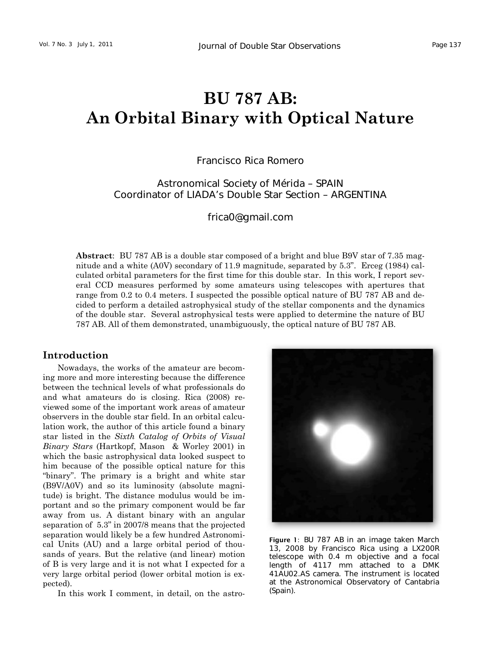# **BU 787 AB: An Orbital Binary with Optical Nature**

# Francisco Rica Romero

# Astronomical Society of Mérida – SPAIN Coordinator of LIADA's Double Star Section – ARGENTINA

[frica0@gmail.com](mailto:frica0@gmail.com) 

**Abstract**: BU 787 AB is a double star composed of a bright and blue B9V star of 7.35 magnitude and a white (A0V) secondary of 11.9 magnitude, separated by 5.3". Erceg (1984) calculated orbital parameters for the first time for this double star. In this work, I report several CCD measures performed by some amateurs using telescopes with apertures that range from 0.2 to 0.4 meters. I suspected the possible optical nature of BU 787 AB and decided to perform a detailed astrophysical study of the stellar components and the dynamics of the double star. Several astrophysical tests were applied to determine the nature of BU 787 AB. All of them demonstrated, unambiguously, the optical nature of BU 787 AB.

# **Introduction**

Nowadays, the works of the amateur are becoming more and more interesting because the difference between the technical levels of what professionals do and what amateurs do is closing. Rica (2008) reviewed some of the important work areas of amateur observers in the double star field. In an orbital calculation work, the author of this article found a binary star listed in the *Sixth Catalog of Orbits of Visual Binary Stars* (Hartkopf, Mason & Worley 2001) in which the basic astrophysical data looked suspect to him because of the possible optical nature for this "binary". The primary is a bright and white star (B9V/A0V) and so its luminosity (absolute magnitude) is bright. The distance modulus would be important and so the primary component would be far away from us. A distant binary with an angular separation of 5.3" in 2007/8 means that the projected separation would likely be a few hundred Astronomical Units (AU) and a large orbital period of thousands of years. But the relative (and linear) motion of B is very large and it is not what I expected for a very large orbital period (lower orbital motion is expected).

In this work I comment, in detail, on the astro-



Figure 1: BU 787 AB in an image taken March 13, 2008 by Francisco Rica using a LX200R telescope with 0.4 m objective and a focal length of 4117 mm attached to a DMK 41AU02.AS camera. The instrument is located at the Astronomical Observatory of Cantabria (Spain).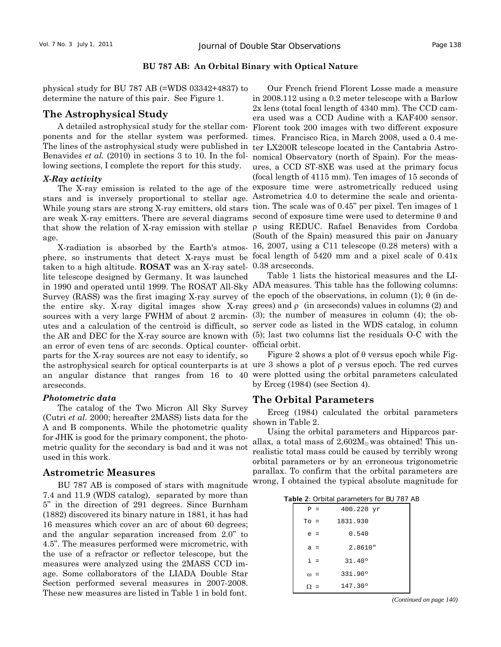#### **BU 787 AB: An Orbital Binary with Optical Nature**

physical study for BU 787 AB (=WDS 03342+4837) to determine the nature of this pair. See Figure 1.

# **The Astrophysical Study**

A detailed astrophysical study for the stellar components and for the stellar system was performed. The lines of the astrophysical study were published in Benavides *et al.* (2010) in sections 3 to 10. In the following sections, I complete the report for this study.

#### *X-Ray activity*

stars and is inversely proportional to stellar age. Astrometrica 4.0 to determine the scale and orientaage.

taken to a high altitude. **ROSAT** was an X-ray satellite telescope designed by Germany. It was launched Survey (RASS) was the first imaging X-ray survey of the epoch of the observations, in column (1); θ (in desources with a very large FWHM of about 2 arcmin- (3); the number of measures in column (4); the oban error of even tens of arc seconds. Optical counter-official orbit. parts for the X-ray sources are not easy to identify, so arcseconds.

#### *Photometric data*

The catalog of the Two Micron All Sky Survey (Cutri *et al.* 2000; hereafter 2MASS) lists data for the A and B components. While the photometric quality for JHK is good for the primary component, the photometric quality for the secondary is bad and it was not used in this work.

# **Astrometric Measures**

BU 787 AB is composed of stars with magnitude 7.4 and 11.9 (WDS catalog), separated by more than 5" in the direction of 291 degrees. Since Burnham (1882) discovered its binary nature in 1881, it has had 16 measures which cover an arc of about 60 degrees; and the angular separation increased from 2.0" to 4.5". The measures performed were micrometric, with the use of a refractor or reflector telescope, but the measures were analyzed using the 2MASS CCD image. Some collaborators of the LIADA Double Star Section performed several measures in 2007-2008. These new measures are listed in Table 1 in bold font.

The X-ray emission is related to the age of the exposure time were astrometrically reduced using While young stars are strong X-ray emitters, old stars tion. The scale was of 0.45" per pixel. Ten images of 1 are weak X-ray emitters. There are several diagrams second of exposure time were used to determine θ and that show the relation of X-ray emission with stellar ρ using REDUC. Rafael Benavides from Cordoba X-radiation is absorbed by the Earth's atmos-16, 2007, using a C11 telescope (0.28 meters) with a phere, so instruments that detect X-rays must be focal length of 5420 mm and a pixel scale of 0.41x Our French friend Florent Losse made a measure in 2008.112 using a 0.2 meter telescope with a Barlow 2x lens (total focal length of 4340 mm). The CCD camera used was a CCD Audine with a KAF400 sensor. Florent took 200 images with two different exposure times. Francisco Rica, in March 2008, used a 0.4 meter LX200R telescope located in the Cantabria Astronomical Observatory (north of Spain). For the measures, a CCD ST-8XE was used at the primary focus (focal length of 4115 mm). Ten images of 15 seconds of (South of the Spain) measured this pair on January 0.38 arcseconds.

in 1990 and operated until 1999. The ROSAT All-Sky ADA measures. This table has the following columns: the entire sky. X-ray digital images show X-ray grees) and  $\rho$  (in arcseconds) values in columns (2) and utes and a calculation of the centroid is difficult, so server code as listed in the WDS catalog, in column the AR and DEC for the X-ray source are known with (5); last two columns list the residuals O-C with the Table 1 lists the historical measures and the LI-

the astrophysical search for optical counterparts is at ure 3 shows a plot of ρ versus epoch. The red curves an angular distance that ranges from 16 to 40 were plotted using the orbital parameters calculated Figure 2 shows a plot of  $\theta$  versus epoch while Figby Erceg (1984) (see Section 4).

# **The Orbital Parameters**

Erceg (1984) calculated the orbital parameters shown in Table 2.

Using the orbital parameters and Hipparcos parallax, a total mass of  $2,602M_{\odot}$  was obtained! This unrealistic total mass could be caused by terribly wrong orbital parameters or by an erroneous trigonometric parallax. To confirm that the orbital parameters are wrong, I obtained the typical absolute magnitude for

|            |       | $5.51$ , $5.51$ , $5.51$ , $5.51$ , $5.51$ |
|------------|-------|--------------------------------------------|
| $P =$      |       | 400.220 yr                                 |
| $To =$     |       | 1831.930                                   |
| $e =$      |       | 0.540                                      |
| $a =$      |       | 2.8610"                                    |
|            | $i =$ | 31.40°                                     |
| $\omega$ = |       | 331.90°                                    |
|            |       | 147.300                                    |

*(Continued on page 140)*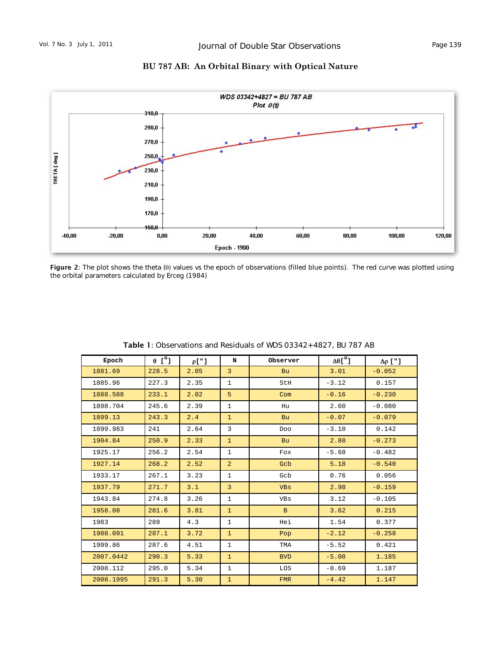



Figure 2: The plot shows the theta (θ) values vs the epoch of observations (filled blue points). The red curve was plotted using the orbital parameters calculated by Erceg (1984)

| Epoch     | $\begin{bmatrix} 0 \\ 1 \end{bmatrix}$ | $\rho$ ["] | N              | Observer   | $\Delta\theta$ [ $^{\circ}$ ] | $\Delta \rho$ ["] |
|-----------|----------------------------------------|------------|----------------|------------|-------------------------------|-------------------|
| 1881.69   | 228.5                                  | 2.05       | $\overline{3}$ | <b>Bu</b>  | 3.01                          | $-0.052$          |
| 1885.96   | 227.3                                  | 2.35       | $\mathbf{1}$   | StH        | $-3.12$                       | 0.157             |
| 1888.588  | 233.1                                  | 2.02       | 5              | Com        | $-0.16$                       | $-0.230$          |
| 1898.704  | 245.6                                  | 2.39       | $\mathbf{1}$   | Hu         | 2.60                          | $-0.080$          |
| 1899.13   | 243.3                                  | 2.4        | $\mathbf{1}$   | <b>Bu</b>  | $-0.07$                       | $-0.079$          |
| 1899.983  | 241                                    | 2.64       | 3              | Doo        | $-3.10$                       | 0.142             |
| 1904.84   | 250.9                                  | 2.33       | $\mathbf{1}$   | <b>Bu</b>  | 2.80                          | $-0.273$          |
| 1925.17   | 256.2                                  | 2.54       | $\mathbf{1}$   | Fox        | $-5.68$                       | $-0.482$          |
| 1927.14   | 268.2                                  | 2.52       | $\overline{2}$ | Gcb        | 5.18                          | $-0.540$          |
| 1933.17   | 267.1                                  | 3.23       | $\mathbf{1}$   | Gcb        | 0.76                          | 0.056             |
| 1937.79   | 271.7                                  | 3.1        | $\overline{3}$ | <b>VBs</b> | 2.98                          | $-0.159$          |
| 1943.84   | 274.8                                  | 3.26       | $\mathbf{1}$   | VBs        | 3.12                          | $-0.105$          |
| 1958.08   | 281.6                                  | 3.81       | $\mathbf{1}$   | B          | 3.62                          | 0.215             |
| 1983      | 289                                    | 4.3        | $\mathbf{1}$   | Hei        | 1.54                          | 0.377             |
| 1988.091  | 287.1                                  | 3.72       | $\mathbf{1}$   | Pop        | $-2.12$                       | $-0.258$          |
| 1999.86   | 287.6                                  | 4.51       | $\mathbf{1}$   | TMA        | $-5.52$                       | 0.421             |
| 2007.0442 | 290.3                                  | 5.33       | $\mathbf{1}$   | <b>BVD</b> | $-5.08$                       | 1.185             |
| 2008.112  | 295.0                                  | 5.34       | $\mathbf{1}$   | LOS        | $-0.69$                       | 1.187             |
| 2008.1995 | 291.3                                  | 5.30       | $\mathbf{1}$   | <b>FMR</b> | $-4.42$                       | 1.147             |

Table 1: Observations and Residuals of WDS 03342+4827, BU 787 AB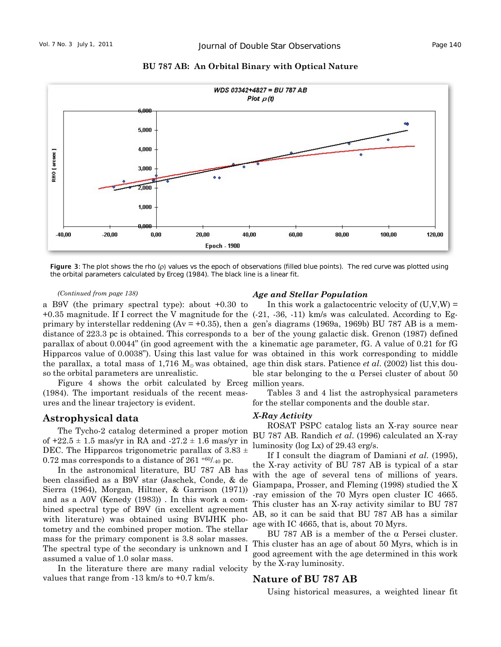

**BU 787 AB: An Orbital Binary with Optical Nature** 

Figure 3: The plot shows the rho  $(p)$  values vs the epoch of observations (filled blue points). The red curve was plotted using the orbital parameters calculated by Erceg (1984). The black line is a linear fit.

#### *(Continued from page 138)*

a B9V (the primary spectral type): about +0.30 to so the orbital parameters are unrealistic.

Figure 4 shows the orbit calculated by Erceg million years. (1984). The important residuals of the recent measures and the linear trajectory is evident.

# **Astrophysical data**

The Tycho-2 catalog determined a proper motion of  $+22.5 \pm 1.5$  mas/yr in RA and  $-27.2 \pm 1.6$  mas/yr in DEC. The Hipparcos trigonometric parallax of  $3.83 \pm$ 0.72 mas corresponds to a distance of  $261^{+60/40}$  pc.

In the astronomical literature, BU 787 AB has been classified as a B9V star (Jaschek, Conde, & de Sierra (1964), Morgan, Hiltner, & Garrison (1971)) and as a A0V (Kenedy (1983)) . In this work a combined spectral type of B9V (in excellent agreement with literature) was obtained using BVIJHK photometry and the combined proper motion. The stellar mass for the primary component is 3.8 solar masses. The spectral type of the secondary is unknown and I assumed a value of 1.0 solar mass.

In the literature there are many radial velocity values that range from -13 km/s to +0.7 km/s.

#### *Age and Stellar Population*

+0.35 magnitude. If I correct the V magnitude for the  $(-21, -36, -11)$  km/s was calculated. According to Egprimary by interstellar reddening ( $Av = +0.35$ ), then a gen's diagrams (1969a, 1969b) BU 787 AB is a memdistance of 223.3 pc is obtained. This corresponds to a ber of the young galactic disk. Grenon (1987) defined parallax of about 0.0044" (in good agreement with the a kinematic age parameter, fG. A value of 0.21 for fG Hipparcos value of 0.0038"). Using this last value for was obtained in this work corresponding to middle the parallax, a total mass of 1,716  $M_{\odot}$  was obtained, age thin disk stars. Patience *et al.* (2002) list this dou-In this work a galactocentric velocity of  $(U, V, W) =$ ble star belonging to the  $\alpha$  Persei cluster of about 50

> Tables 3 and 4 list the astrophysical parameters for the stellar components and the double star.

# *X-Ray Activity*

ROSAT PSPC catalog lists an X-ray source near BU 787 AB. Randich *et al*. (1996) calculated an X-ray luminosity (log Lx) of 29.43 erg/s.

If I consult the diagram of Damiani *et al*. (1995), the X-ray activity of BU 787 AB is typical of a star with the age of several tens of millions of years. Giampapa, Prosser, and Fleming (1998) studied the X -ray emission of the 70 Myrs open cluster IC 4665. This cluster has an X-ray activity similar to BU 787 AB, so it can be said that BU 787 AB has a similar age with IC 4665, that is, about 70 Myrs.

BU 787 AB is a member of the α Persei cluster. This cluster has an age of about 50 Myrs, which is in good agreement with the age determined in this work by the X-ray luminosity.

# **Nature of BU 787 AB**

Using historical measures, a weighted linear fit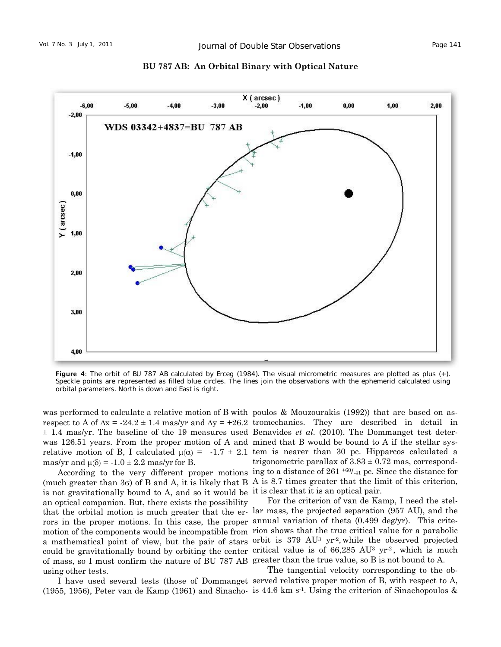

**BU 787 AB: An Orbital Binary with Optical Nature** 

Figure 4: The orbit of BU 787 AB calculated by Erceg (1984). The visual micrometric measures are plotted as plus (+). Speckle points are represented as filled blue circles. The lines join the observations with the ephemerid calculated using orbital parameters. North is down and East is right.

mas/yr and  $\mu(\delta) = -1.0 \pm 2.2$  mas/yr for B.

is not gravitationally bound to A, and so it would be it is clear that it is an optical pair. an optical companion. But, there exists the possibility rors in the proper motions. In this case, the proper annual variation of theta  $(0.499 \text{ deg/yr})$ . This criteof mass, so I must confirm the nature of BU 787 AB greater than the true value, so B is not bound to A. using other tests.

(1955, 1956), Peter van de Kamp (1961) and Sinacho- is 44.6 km s<sup>-1</sup>. Using the criterion of Sinachopoulos  $\&$ 

was performed to calculate a relative motion of B with poulos & Mouzourakis (1992)) that are based on asrespect to A of  $\Delta x = -24.2 \pm 1.4$  mas/yr and  $\Delta y = +26.2$  tromechanics. They are described in detail in ± 1.4 mas/yr. The baseline of the 19 measures used Benavides *et al.* (2010). The Dommanget test deterwas 126.51 years. From the proper motion of A and mined that B would be bound to A if the stellar sysrelative motion of B, I calculated  $\mu(\alpha) = -1.7 \pm 2.1$  tem is nearer than 30 pc. Hipparcos calculated a According to the very different proper motions ing to a distance of  $261 + 60/41$  pc. Since the distance for (much greater than  $3\sigma$ ) of B and A, it is likely that B A is 8.7 times greater that the limit of this criterion, trigonometric parallax of  $3.83 \pm 0.72$  mas, correspond-

that the orbital motion is much greater that the er- lar mass, the projected separation (957 AU), and the motion of the components would be incompatible from rion shows that the true critical value for a parabolic a mathematical point of view, but the pair of stars orbit is 379 AU<sup>3</sup> yr<sup>-2</sup>, while the observed projected could be gravitationally bound by orbiting the center critical value is of  $66,285$  AU<sup>3</sup> yr<sup>2</sup>, which is much For the criterion of van de Kamp, I need the stel-

I have used several tests (those of Dommanget served relative proper motion of B, with respect to A, The tangential velocity corresponding to the ob-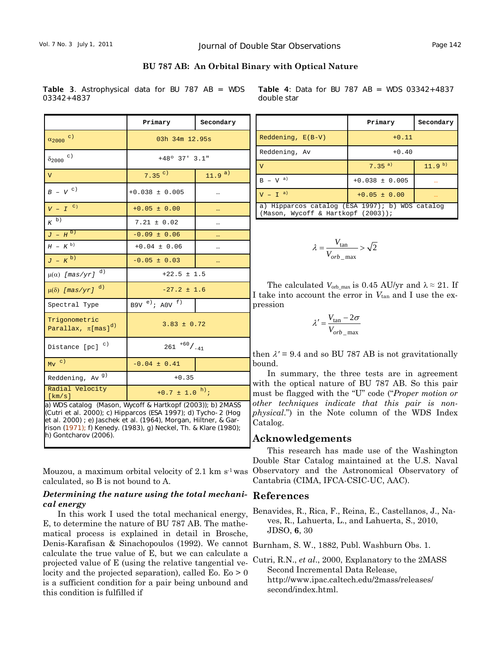| BU 787 AB: An Orbital Binary with Optical Nature |  |  |  |  |  |  |
|--------------------------------------------------|--|--|--|--|--|--|
|--------------------------------------------------|--|--|--|--|--|--|

Table 3. Astrophysical data for BU 787 AB = WDS 03342+4837

|                                                                                                                                                                                                                                                                                             | Primary                        | Secondary  |  |  |  |  |
|---------------------------------------------------------------------------------------------------------------------------------------------------------------------------------------------------------------------------------------------------------------------------------------------|--------------------------------|------------|--|--|--|--|
| $\alpha_{2000}$ c)                                                                                                                                                                                                                                                                          | 03h 34m 12.95s                 |            |  |  |  |  |
| $\delta_{2000}$ $^{\rm c)}$                                                                                                                                                                                                                                                                 | $+48°$ 37' 3.1"                |            |  |  |  |  |
| $\overline{V}$                                                                                                                                                                                                                                                                              | $7.35^{c}$                     | $11.9^{a}$ |  |  |  |  |
| $B - V$ <sup>c)</sup>                                                                                                                                                                                                                                                                       | $+0.038 \pm 0.005$             |            |  |  |  |  |
| $V - I$ <sup>c</sup>                                                                                                                                                                                                                                                                        | $+0.05 \pm 0.00$               | $\ddotsc$  |  |  |  |  |
| $K^{b)}$                                                                                                                                                                                                                                                                                    | $7.21 \pm 0.02$                |            |  |  |  |  |
| $J - H^{b}$                                                                                                                                                                                                                                                                                 | $-0.09 \pm 0.06$               |            |  |  |  |  |
| $H - K^{b}$                                                                                                                                                                                                                                                                                 | $+0.04 \pm 0.06$               |            |  |  |  |  |
| $J - K^{b}$                                                                                                                                                                                                                                                                                 | $-0.05 \pm 0.03$               | $\ddotsc$  |  |  |  |  |
| d)<br>$\mu(\alpha)$ [mas/yr]                                                                                                                                                                                                                                                                | $+22.5 \pm 1.5$                |            |  |  |  |  |
| $\mu(\delta)$ [mas/yr] <sup>d)</sup>                                                                                                                                                                                                                                                        | $-27.2 \pm 1.6$                |            |  |  |  |  |
| Spectral Type                                                                                                                                                                                                                                                                               | B9V $e$ ); A0V $f$ )           |            |  |  |  |  |
| Trigonometric<br>Parallax, $\pi$ [mas] <sup>d)</sup>                                                                                                                                                                                                                                        | $3.83 \pm 0.72$                |            |  |  |  |  |
| Distance $[pc]$ <sup>c)</sup>                                                                                                                                                                                                                                                               | $261^{+60}/_{-41}$             |            |  |  |  |  |
| $Mv$ c)                                                                                                                                                                                                                                                                                     | $-0.04 \pm 0.41$               |            |  |  |  |  |
| Reddening, Av <sup>g)</sup>                                                                                                                                                                                                                                                                 | $+0.35$                        |            |  |  |  |  |
| Radial Velocity<br>[km/s]                                                                                                                                                                                                                                                                   | +0.7 $\pm$ 1.0 <sup>h</sup> ); |            |  |  |  |  |
| a) WDS catalog (Mason, Wycoff & Hartkopf (2003)); b) 2MASS<br>(Cutri et al. 2000); c) Hipparcos (ESA 1997); d) Tycho-2 (Hog<br>et al. 2000) ; e) Jaschek et al. (1964), Morgan, Hiltner, & Gar-<br>rison (1971); f) Kenedy. (1983), g) Neckel, Th. & Klare (1980);<br>h) Gontcharov (2006). |                                |            |  |  |  |  |

Mouzou, a maximum orbital velocity of 2.1 km  $s<sup>1</sup>$  was calculated, so B is not bound to A.

# *Determining the nature using the total mechani-***References**  *cal energy*

In this work I used the total mechanical energy, E, to determine the nature of BU 787 AB. The mathematical process is explained in detail in Brosche, Denis-Karafisan & Sinachopoulos (1992). We cannot Burnham, S. W., 1882, Publ. Washburn Obs. 1. calculate the true value of E, but we can calculate a projected value of E (using the relative tangential velocity and the projected separation), called Eo.  $E_0 > 0$ is a sufficient condition for a pair being unbound and this condition is fulfilled if

|             |  |  |  |  | <b>Table 4:</b> Data for BU 787 AB = WDS $03342+4837$ |
|-------------|--|--|--|--|-------------------------------------------------------|
| double star |  |  |  |  |                                                       |

|                                                                                       | Primary            | Secondary  |  |  |  |  |
|---------------------------------------------------------------------------------------|--------------------|------------|--|--|--|--|
| $Reddening, E(B-V)$                                                                   | $+0.11$            |            |  |  |  |  |
| Reddening, Av                                                                         | $+0.40$            |            |  |  |  |  |
| $\overline{V}$                                                                        | $7.35^{a}$         | $11.9^{b}$ |  |  |  |  |
| $B - V^{a}$                                                                           | $+0.038 \pm 0.005$ |            |  |  |  |  |
| $V - Ia$                                                                              | $+0.05 \pm 0.00$   | $\cdots$   |  |  |  |  |
| a) Hipparcos catalog (ESA 1997); b) WDS catalog<br>(Mason, Wycoff & Hartkopf (2003)); |                    |            |  |  |  |  |

$$
\lambda = \frac{V_{\text{tan}}}{V_{orb\_max}} > \sqrt{2}
$$

The calculated  $V_{\text{orb\_max}}$  is 0.45 AU/yr and  $\lambda \approx 21$ . If I take into account the error in *V*tan and I use the expression

$$
\lambda' = \frac{V_{\text{tan}} - 2\sigma}{V_{orb\_\text{max}}}
$$

then  $\lambda$ <sup>'</sup> = 9.4 and so BU 787 AB is not gravitationally bound.

In summary, the three tests are in agreement with the optical nature of BU 787 AB. So this pair must be flagged with the "U" code ("*Proper motion or other techniques indicate that this pair is nonphysical*.") in the Note column of the WDS Index Catalog.

# **Acknowledgements**

This research has made use of the Washington Double Star Catalog maintained at the U.S. Naval Observatory and the Astronomical Observatory of Cantabria (CIMA, IFCA-CSIC-UC, AAC).

Benavides, R., Rica, F., Reina, E., Castellanos, J., Naves, R., Lahuerta, L., and Lahuerta, S., 2010, JDSO, **6**, 30

Cutri, R.N., *et al*., 2000, Explanatory to the 2MASS Second Incremental Data Release, [http://www.ipac.caltech.edu/2mass/releases/](http://www.ipac.caltech.edu/2mass/releases) second/index.html.